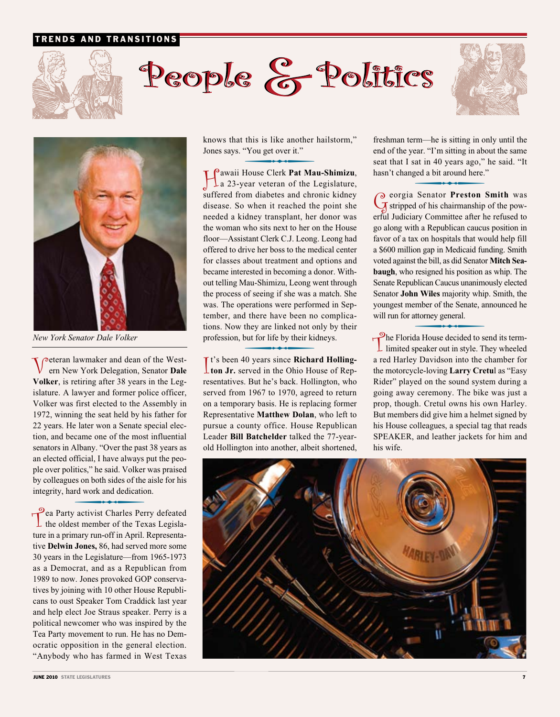#### TRENDS AND TRANSITIONS



# People & Politics





*New York Senator Dale Volker*

Veteran lawmaker and dean of the Western New York Delegation, Senator **Dale Volker**, is retiring after 38 years in the Legislature. A lawyer and former police officer, Volker was first elected to the Assembly in 1972, winning the seat held by his father for 22 years. He later won a Senate special election, and became one of the most influential senators in Albany. "Over the past 38 years as an elected official, I have always put the people over politics," he said. Volker was praised by colleagues on both sides of the aisle for his integrity, hard work and dedication.

 $\perp$  the oldest member of the Texas Legisla-Pea Party activist Charles Perry defeated ture in a primary run-off in April. Representative **Delwin Jones,** 86, had served more some 30 years in the Legislature—from 1965-1973 as a Democrat, and as a Republican from 1989 to now. Jones provoked GOP conservatives by joining with 10 other House Republicans to oust Speaker Tom Craddick last year and help elect Joe Straus speaker. Perry is a political newcomer who was inspired by the Tea Party movement to run. He has no Democratic opposition in the general election. "Anybody who has farmed in West Texas

knows that this is like another hailstorm," Jones says. "You get over it."

Pawaii House Clerk Pat Mau-Shimizu, La 23-year veteran of the Legislature, suffered from diabetes and chronic kidney disease. So when it reached the point she needed a kidney transplant, her donor was the woman who sits next to her on the House floor—Assistant Clerk C.J. Leong. Leong had offered to drive her boss to the medical center for classes about treatment and options and became interested in becoming a donor. Without telling Mau-Shimizu, Leong went through the process of seeing if she was a match. She was. The operations were performed in September, and there have been no complications. Now they are linked not only by their profession, but for life by their kidneys. as. The operations were performed in Sep-<br>mber, and there have been no complica-<br>ons. Now they are linked not only by their<br>ofession, but for life by their kidneys.<br> $t$ 's been 40 years since **Richard Holling-**<br>**to Presence** 

I **Leton Jr.** served in the Ohio House of Representatives. But he's back. Hollington, who served from 1967 to 1970, agreed to return on a temporary basis. He is replacing former Representative **Matthew Dolan**, who left to pursue a county office. House Republican Leader **Bill Batchelder** talked the 77-yearold Hollington into another, albeit shortened, freshman term—he is sitting in only until the end of the year. "I'm sitting in about the same seat that I sat in 40 years ago," he said. "It hasn't changed a bit around here." freshman term—he is sitting in only until the<br>end of the year. "I'm sitting in about the same<br>seat that I sat in 40 years ago," he said. "It<br>hasn't changed a bit around here."<br>**C** eorgia Senator **Preston Smith** was<br>**C** str

erful Judiciary Committee after he refused to go along with a Republican caucus position in favor of a tax on hospitals that would help fill a \$600 million gap in Medicaid funding. Smith voted against the bill, as did Senator **Mitch Seabaugh**, who resigned his position as whip. The Senate Republican Caucus unanimously elected Senator **John Wiles** majority whip. Smith, the youngest member of the Senate, announced he will run for attorney general. ate Republican Caucus unanimously elected<br>ator **John Wiles** majority whip. Smith, the<br>ngest member of the Senate, announced he<br>run for attorney general.<br>he Florida House decided to send its term-<br>limited speaker out in sty

The Florida House decided to send its term-<br>limited speaker out in style. They wheeled a red Harley Davidson into the chamber for the motorcycle-loving  **Larry Cretu**l as "Easy Rider" played on the sound system during a going away ceremony. The bike was just a prop, though. Cretul owns his own Harley. But members did give him a helmet signed by his House colleagues, a special tag that reads SPEAKER, and leather jackets for him and his wife.

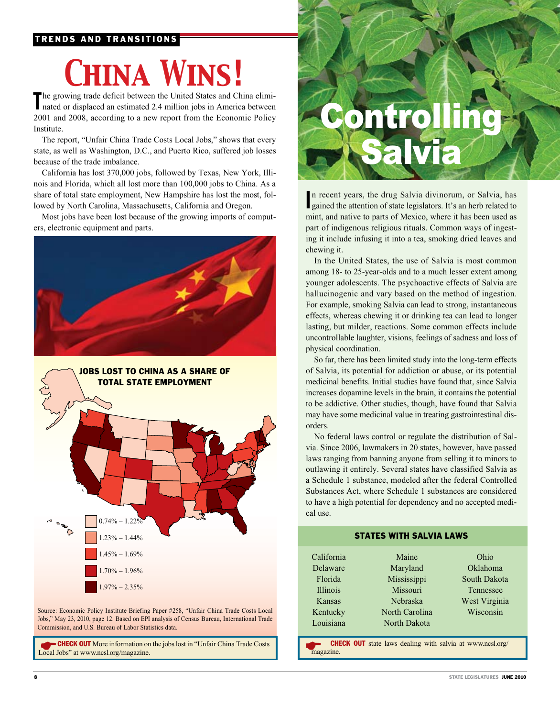#### TRENDS AND TRANSITIONS

## *China Wins!*

The growing trade deficit between the United States and China eliminated or displaced an estimated 2.4 million jobs in America between he growing trade deficit between the United States and China elimi-2001 and 2008, according to a new report from the Economic Policy Institute.

The report, "Unfair China Trade Costs Local Jobs," shows that every state, as well as Washington, D.C., and Puerto Rico, suffered job losses because of the trade imbalance.

California has lost 370,000 jobs, followed by Texas, New York, Illinois and Florida, which all lost more than 100,000 jobs to China. As a share of total state employment, New Hampshire has lost the most, followed by North Carolina, Massachusetts, California and Oregon.

Most jobs have been lost because of the growing imports of computers, electronic equipment and parts.



 $.23\% - 1.44\%$  $.45\% - 1.69\%$  $.70\% - 1.96\%$  $1.97\% - 2.35\%$ 

Source: Economic Policy Institute Briefing Paper #258, "Unfair China Trade Costs Local Jobs," May 23, 2010, page 12. Based on EPI analysis of Census Bureau, International Trade Commission, and U.S. Bureau of Labor Statistics data.

**CHECK OUT** More information on the jobs lost in "Unfair China Trade Costs<br>Local Jobs" at www.ncsl.org/magazine. Local Jobs" at www.ncsl.org/magazine.

## ontrol **Salvia**

In recent years, the drug Salvia divinorum, or Salvia, has gained the attention of state legislators. It's an herb related to n recent years, the drug Salvia divinorum, or Salvia, has mint, and native to parts of Mexico, where it has been used as part of indigenous religious rituals. Common ways of ingesting it include infusing it into a tea, smoking dried leaves and chewing it.

In the United States, the use of Salvia is most common among 18- to 25-year-olds and to a much lesser extent among younger adolescents. The psychoactive effects of Salvia are hallucinogenic and vary based on the method of ingestion. For example, smoking Salvia can lead to strong, instantaneous effects, whereas chewing it or drinking tea can lead to longer lasting, but milder, reactions. Some common effects include uncontrollable laughter, visions, feelings of sadness and loss of physical coordination.

So far, there has been limited study into the long-term effects of Salvia, its potential for addiction or abuse, or its potential medicinal benefits. Initial studies have found that, since Salvia increases dopamine levels in the brain, it contains the potential to be addictive. Other studies, though, have found that Salvia may have some medicinal value in treating gastrointestinal disorders.

No federal laws control or regulate the distribution of Salvia. Since 2006, lawmakers in 20 states, however, have passed laws ranging from banning anyone from selling it to minors to outlawing it entirely. Several states have classified Salvia as a Schedule 1 substance, modeled after the federal Controlled Substances Act, where Schedule 1 substances are considered to have a high potential for dependency and no accepted medical use.

#### **STATES WITH SALVIA LAWS** California Delaware Florida Illinois Kansas Kentucky Louisiana Maine Maryland Mississippi Missouri Nebraska North Carolina North Dakota Ohio Oklahoma South Dakota Tennessee West Virginia Wisconsin

CHECK OUT state laws dealing with salvia at www.ncsl.org/ magazine.